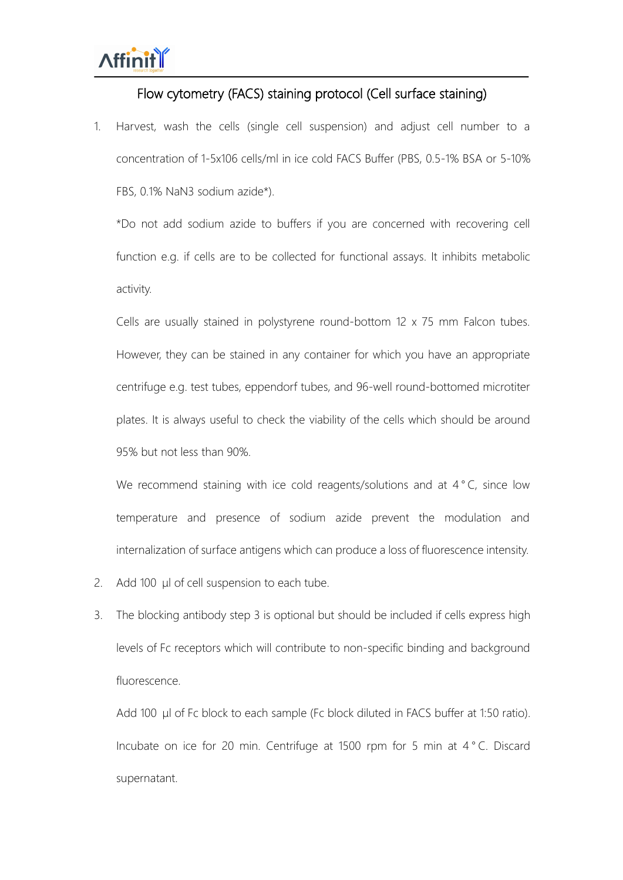## Flow cytometry (FACS) staining protocol (Cell surface staining)

1. Harvest, wash the cells (single cell suspension) and adjust cell number to a concentration of 1-5x106 cells/ml in ice cold FACS Buffer (PBS, 0.5-1% BSA or 5-10% FBS, 0.1% NaN3 sodium azide\*).

\*Do not add sodium azide to buffers if you are concerned with recovering cell function e.g. if cells are to be collected for functional assays. It inhibits metabolic activity.

Cells are usually stained in polystyrene round-bottom 12 x 75 mm Falcon tubes. However, they can be stained in any container for which you have an appropriate centrifuge e.g. test tubes, eppendorf tubes, and 96-well round-bottomed microtiter plates. It is always useful to check the viability of the cells which should be around 95% but not less than 90%.

We recommend staining with ice cold reagents/solutions and at 4°C, since low temperature and presence of sodium azide prevent the modulation and internalization of surface antigens which can produce a loss of fluorescence intensity.

- 2. Add 100 μl of cell suspension to each tube.
- 3. The blocking antibody step 3 is optional but should be included if cells express high levels of Fc receptors which will contribute to non-specific binding and background fluorescence.

Add 100 μl of Fc block to each sample (Fc block diluted in FACS buffer at 1:50 ratio). Incubate on ice for 20 min. Centrifuge at 1500 rpm for 5 min at 4 ° C. Discard supernatant.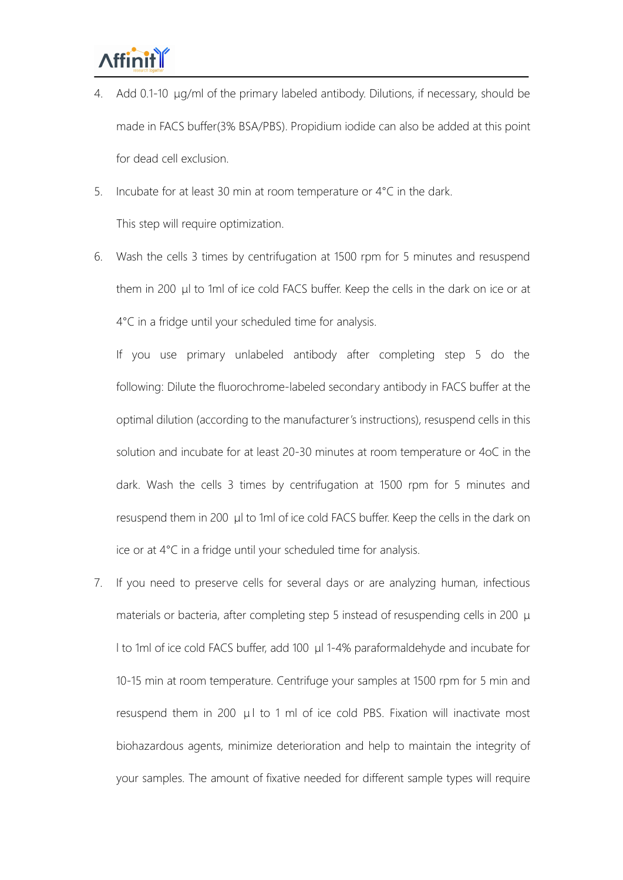- 4. Add 0.1-10 μg/ml of the primary labeled antibody. Dilutions, if necessary, should be made in FACS buffer(3% BSA/PBS). Propidium iodide can also be added at this point for dead cell exclusion.
- 5. Incubate for at least 30 min at room temperature or 4°C in the dark.

This step will require optimization.

6. Wash the cells 3 times by centrifugation at 1500 rpm for 5 minutes and resuspend them in 200 μl to 1ml of ice cold FACS buffer. Keep the cells in the dark on ice or at 4°C in afridge until your scheduled time for analysis.

If you use primary unlabeled antibody after completing step 5 do the following: Dilute the fluorochrome-labeled secondary antibody in FACS buffer at the optimal dilution (according to the manufacturer's instructions), resuspend cells in this solution and incubate for at least 20-30 minutes at room temperature or 4oC in the dark. Wash the cells 3 times by centrifugation at 1500 rpm for 5 minutes and resuspend them in 200 μl to 1ml of ice cold FACS buffer. Keep the cells in the dark on ice or at 4°C in a fridge until your scheduled time for analysis.

7. If you need to preserve cells for several days or are analyzing human, infectious materials or bacteria, after completing step 5 instead of resuspending cells in 200 μ l to 1ml of ice cold FACS buffer, add 100 μl 1-4% paraformaldehyde and incubate for 10-15 min at room temperature. Centrifuge your samples at 1500 rpm for 5 min and resuspend them in 200  $\mu$ l to 1 ml of ice cold PBS. Fixation will inactivate most biohazardous agents, minimize deterioration and help to maintain the integrity of your samples. The amount of fixative needed for different sample types will require